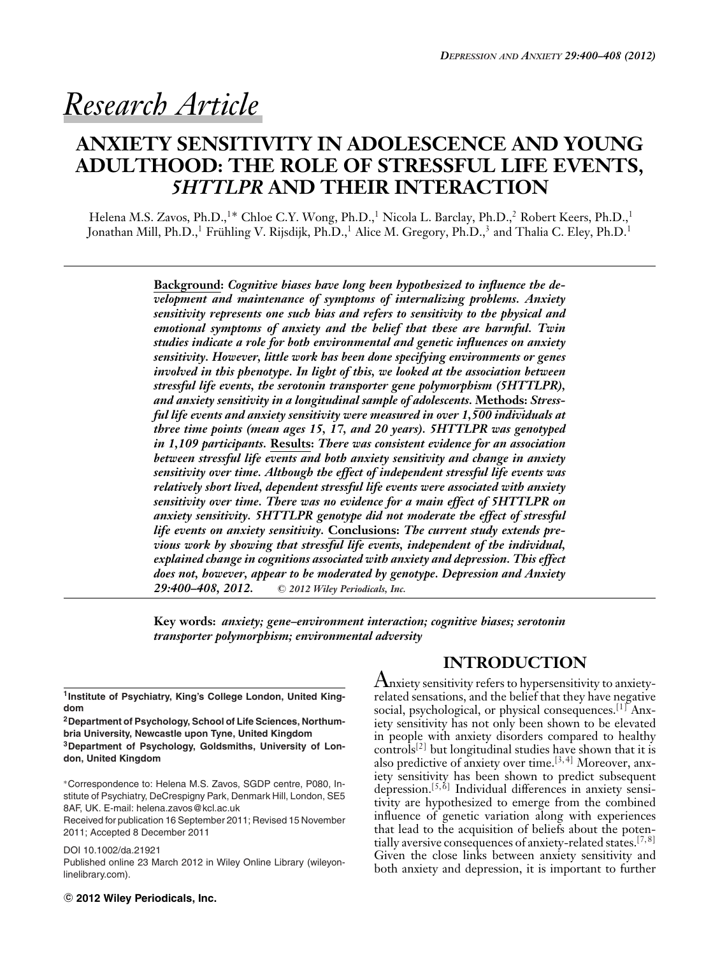# *Research Article*

# **ANXIETY SENSITIVITY IN ADOLESCENCE AND YOUNG ADULTHOOD: THE ROLE OF STRESSFUL LIFE EVENTS,** *5HTTLPR* **AND THEIR INTERACTION**

Helena M.S. Zavos, Ph.D.,<sup>1</sup>\* Chloe C.Y. Wong, Ph.D.,<sup>1</sup> Nicola L. Barclay, Ph.D.,<sup>2</sup> Robert Keers, Ph.D.,<sup>1</sup> Jonathan Mill, Ph.D.,<sup>1</sup> Frühling V. Rijsdijk, Ph.D.,<sup>1</sup> Alice M. Gregory, Ph.D.,<sup>3</sup> and Thalia C. Eley, Ph.D.<sup>1</sup>

> **Background:** *Cognitive biases have long been hypothesized to influence the development and maintenance of symptoms of internalizing problems. Anxiety sensitivity represents one such bias and refers to sensitivity to the physical and emotional symptoms of anxiety and the belief that these are harmful. Twin studies indicate a role for both environmental and genetic influences on anxiety sensitivity. However, little work has been done specifying environments or genes involved in this phenotype. In light of this, we looked at the association between stressful life events, the serotonin transporter gene polymorphism (5HTTLPR), and anxiety sensitivity in a longitudinal sample of adolescents.* **Methods:** *Stressful life events and anxiety sensitivity were measured in over 1,500 individuals at three time points (mean ages 15, 17, and 20 years). 5HTTLPR was genotyped in 1,109 participants.* **Results:** *There was consistent evidence for an association between stressful life events and both anxiety sensitivity and change in anxiety sensitivity over time. Although the effect of independent stressful life events was relatively short lived, dependent stressful life events were associated with anxiety sensitivity over time. There was no evidence for a main effect of 5HTTLPR on anxiety sensitivity. 5HTTLPR genotype did not moderate the effect of stressful life events on anxiety sensitivity.* **Conclusions:** *The current study extends previous work by showing that stressful life events, independent of the individual, explained change in cognitions associated with anxiety and depression. This effect does not, however, appear to be moderated by genotype. Depression and Anxiety 29:400–408, 2012.* **<sup>C</sup>** *2012 Wiley Periodicals, Inc.*

> **Key words:** *anxiety; gene–environment interaction; cognitive biases; serotonin transporter polymorphism; environmental adversity*

<sup>1</sup> Institute of Psychiatry, King's College London, United King**dom**

**2Department of Psychology, School of Life Sciences, Northumbria University, Newcastle upon Tyne, United Kingdom**

**3Department of Psychology, Goldsmiths, University of London, United Kingdom**

∗Correspondence to: Helena M.S. Zavos, SGDP centre, P080, Institute of Psychiatry, DeCrespigny Park, Denmark Hill, London, SE5 8AF, UK. E-mail: helena.zavos@kcl.ac.uk

Received for publication 16 September 2011; Revised 15 November 2011; Accepted 8 December 2011

DOI 10.1002/da.21921

Published online 23 March 2012 in Wiley Online Library (wileyonlinelibrary.com).

# **INTRODUCTION**

 $A$ nxiety sensitivity refers to hypersensitivity to anxietyrelated sensations, and the belief that they have negative social, psychological, or physical consequences.<sup>[1]</sup> Anxiety sensitivity has not only been shown to be elevated in people with anxiety disorders compared to healthy controls[2] but longitudinal studies have shown that it is also predictive of anxiety over time.<sup>[3,4]</sup> Moreover, anxiety sensitivity has been shown to predict subsequent depression.<sup>[5, 6]</sup> Individual differences in anxiety sensitivity are hypothesized to emerge from the combined influence of genetic variation along with experiences that lead to the acquisition of beliefs about the potentially aversive consequences of anxiety-related states.<sup>[7,8]</sup> Given the close links between anxiety sensitivity and both anxiety and depression, it is important to further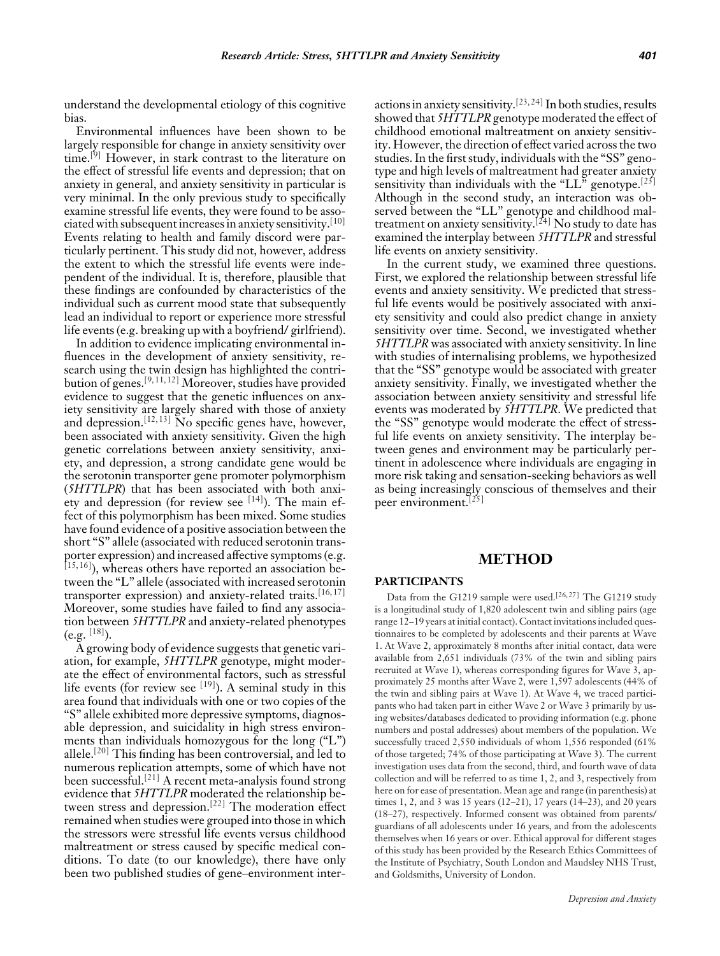understand the developmental etiology of this cognitive bias.

Environmental influences have been shown to be largely responsible for change in anxiety sensitivity over time.<sup>[9]</sup> However, in stark contrast to the literature on the effect of stressful life events and depression; that on anxiety in general, and anxiety sensitivity in particular is very minimal. In the only previous study to specifically examine stressful life events, they were found to be associated with subsequent increases in anxiety sensitivity.[10] Events relating to health and family discord were particularly pertinent. This study did not, however, address the extent to which the stressful life events were independent of the individual. It is, therefore, plausible that these findings are confounded by characteristics of the individual such as current mood state that subsequently lead an individual to report or experience more stressful life events (e.g. breaking up with a boyfriend/ girlfriend).

In addition to evidence implicating environmental influences in the development of anxiety sensitivity, research using the twin design has highlighted the contribution of genes.[9, 11, 12] Moreover, studies have provided evidence to suggest that the genetic influences on anxiety sensitivity are largely shared with those of anxiety and depression.<sup>[12, 13]</sup> No specific genes have, however, been associated with anxiety sensitivity. Given the high genetic correlations between anxiety sensitivity, anxiety, and depression, a strong candidate gene would be the serotonin transporter gene promoter polymorphism (*5HTTLPR*) that has been associated with both anxiety and depression (for review see  $[14]$ ). The main effect of this polymorphism has been mixed. Some studies have found evidence of a positive association between the short "S" allele (associated with reduced serotonin transporter expression) and increased affective symptoms (e.g. [15, 16]), whereas others have reported an association between the "L" allele (associated with increased serotonin transporter expression) and anxiety-related traits.<sup>[16,17]</sup> Moreover, some studies have failed to find any association between *5HTTLPR* and anxiety-related phenotypes  $(e.g. [18])$ .

A growing body of evidence suggests that genetic variation, for example, *5HTTLPR* genotype, might moderate the effect of environmental factors, such as stressful life events (for review see  $[19]$ ). A seminal study in this area found that individuals with one or two copies of the "S" allele exhibited more depressive symptoms, diagnosable depression, and suicidality in high stress environments than individuals homozygous for the long ("L") allele.[20] This finding has been controversial, and led to numerous replication attempts, some of which have not been successful.[21] A recent meta-analysis found strong evidence that *5HTTLPR* moderated the relationship between stress and depression.[22] The moderation effect remained when studies were grouped into those in which the stressors were stressful life events versus childhood maltreatment or stress caused by specific medical conditions. To date (to our knowledge), there have only been two published studies of gene–environment inter-

actions in anxiety sensitivity.[23, 24] In both studies, results showed that *5HTTLPR* genotype moderated the effect of childhood emotional maltreatment on anxiety sensitivity. However, the direction of effect varied across the two studies. In the first study, individuals with the "SS" genotype and high levels of maltreatment had greater anxiety sensitivity than individuals with the "LL" genotype.<sup>[23]</sup> Although in the second study, an interaction was observed between the "LL" genotype and childhood maltreatment on anxiety sensitivity.<sup>[24]</sup> No study to date has examined the interplay between *5HTTLPR* and stressful life events on anxiety sensitivity.

In the current study, we examined three questions. First, we explored the relationship between stressful life events and anxiety sensitivity. We predicted that stressful life events would be positively associated with anxiety sensitivity and could also predict change in anxiety sensitivity over time. Second, we investigated whether *5HTTLPR* was associated with anxiety sensitivity. In line with studies of internalising problems, we hypothesized that the "SS" genotype would be associated with greater anxiety sensitivity. Finally, we investigated whether the association between anxiety sensitivity and stressful life events was moderated by *5HTTLPR*. We predicted that the "SS" genotype would moderate the effect of stressful life events on anxiety sensitivity. The interplay between genes and environment may be particularly pertinent in adolescence where individuals are engaging in more risk taking and sensation-seeking behaviors as well as being increasingly conscious of themselves and their peer environment.<sup>[25]</sup>

# **METHOD**

### **PARTICIPANTS**

Data from the G1219 sample were used.<sup>[26,27]</sup> The G1219 study is a longitudinal study of 1,820 adolescent twin and sibling pairs (age range 12–19 years at initial contact). Contact invitations included questionnaires to be completed by adolescents and their parents at Wave 1. At Wave 2, approximately 8 months after initial contact, data were available from 2,651 individuals (73% of the twin and sibling pairs recruited at Wave 1), whereas corresponding figures for Wave 3, approximately 25 months after Wave 2, were 1,597 adolescents (44% of the twin and sibling pairs at Wave 1). At Wave 4, we traced participants who had taken part in either Wave 2 or Wave 3 primarily by using websites/databases dedicated to providing information (e.g. phone numbers and postal addresses) about members of the population. We successfully traced 2,550 individuals of whom 1,556 responded (61% of those targeted; 74% of those participating at Wave 3). The current investigation uses data from the second, third, and fourth wave of data collection and will be referred to as time 1, 2, and 3, respectively from here on for ease of presentation. Mean age and range (in parenthesis) at times 1, 2, and 3 was 15 years (12–21), 17 years (14–23), and 20 years (18–27), respectively. Informed consent was obtained from parents/ guardians of all adolescents under 16 years, and from the adolescents themselves when 16 years or over. Ethical approval for different stages of this study has been provided by the Research Ethics Committees of the Institute of Psychiatry, South London and Maudsley NHS Trust, and Goldsmiths, University of London.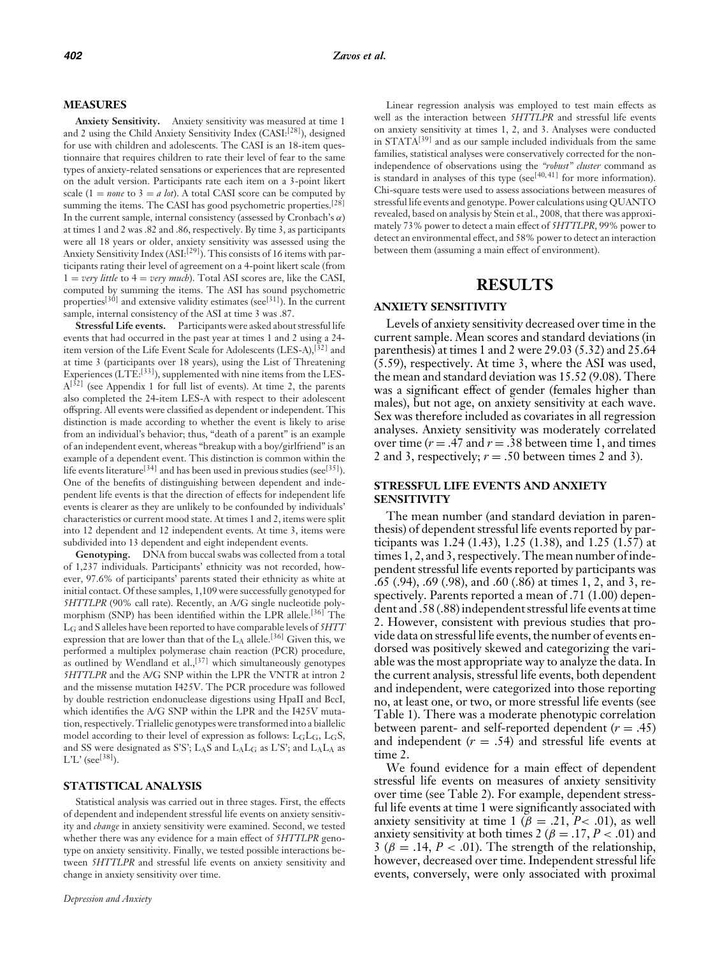#### **MEASURES**

**Anxiety Sensitivity.** Anxiety sensitivity was measured at time 1 and 2 using the Child Anxiety Sensitivity Index (CASI:<sup>[28]</sup>), designed for use with children and adolescents. The CASI is an 18-item questionnaire that requires children to rate their level of fear to the same types of anxiety-related sensations or experiences that are represented on the adult version. Participants rate each item on a 3-point likert scale (1 = *none* to 3 = *a lot*). A total CASI score can be computed by summing the items. The CASI has good psychometric properties.<sup>[28]</sup> In the current sample, internal consistency (assessed by Cronbach's  $\alpha$ ) at times 1 and 2 was .82 and .86, respectively. By time 3, as participants were all 18 years or older, anxiety sensitivity was assessed using the Anxiety Sensitivity Index (ASI:<sup>[29]</sup>). This consists of 16 items with participants rating their level of agreement on a 4-point likert scale (from  $1 = \text{very little to } 4 = \text{very much}.$  Total ASI scores are, like the CASI, computed by summing the items. The ASI has sound psychometric properties<sup>[30]</sup> and extensive validity estimates (see<sup>[31]</sup>). In the current sample, internal consistency of the ASI at time 3 was .87.

**Stressful Life events.** Participants were asked about stressful life events that had occurred in the past year at times 1 and 2 using a 24 item version of the Life Event Scale for Adolescents (LES-A),[32 ] and at time 3 (participants over 18 years), using the List of Threatening Experiences (LTE:<sup>[33]</sup>), supplemented with nine items from the LES- $A^{[32]}$  (see Appendix 1 for full list of events). At time 2, the parents also completed the 24-item LES-A with respect to their adolescent offspring. All events were classified as dependent or independent. This distinction is made according to whether the event is likely to arise from an individual's behavior; thus, "death of a parent" is an example of an independent event, whereas "breakup with a boy/girlfriend" is an example of a dependent event. This distinction is common within the life events literature<sup>[34]</sup> and has been used in previous studies (see<sup>[35]</sup>). One of the benefits of distinguishing between dependent and independent life events is that the direction of effects for independent life events is clearer as they are unlikely to be confounded by individuals' characteristics or current mood state. At times 1 and 2, items were split into 12 dependent and 12 independent events. At time 3, items were subdivided into 13 dependent and eight independent events.

**Genotyping.** DNA from buccal swabs was collected from a total of 1,237 individuals. Participants' ethnicity was not recorded, however, 97.6% of participants' parents stated their ethnicity as white at initial contact. Of these samples, 1,109 were successfully genotyped for *5HTTLPR* (90% call rate). Recently, an A/G single nucleotide polymorphism (SNP) has been identified within the LPR allele.<sup>[36]</sup> The LG and S alleles have been reported to have comparable levels of *5HTT* expression that are lower than that of the  $L_A$  allele.<sup>[36]</sup> Given this, we performed a multiplex polymerase chain reaction (PCR) procedure, as outlined by Wendland et al.,<sup>[37]</sup> which simultaneously genotypes *5HTTLPR* and the A/G SNP within the LPR the VNTR at intron 2 and the missense mutation I425V. The PCR procedure was followed by double restriction endonuclease digestions using HpaII and BccI, which identifies the A/G SNP within the LPR and the I425V mutation, respectively. Triallelic genotypes were transformed into a biallelic model according to their level of expression as follows:  $L<sub>G</sub>L<sub>G</sub>$ ,  $L<sub>G</sub>S$ , and SS were designated as S'S';  $L_A S$  and  $L_A L_G$  as L'S'; and  $L_A L_A$  as  $\mathrm{L'}\mathrm{L'}$  (see<br>[38]).

#### **STATISTICAL ANALYSIS**

Statistical analysis was carried out in three stages. First, the effects of dependent and independent stressful life events on anxiety sensitivity and *change* in anxiety sensitivity were examined. Second, we tested whether there was any evidence for a main effect of *5HTTLPR* genotype on anxiety sensitivity. Finally, we tested possible interactions between *5HTTLPR* and stressful life events on anxiety sensitivity and change in anxiety sensitivity over time.

Linear regression analysis was employed to test main effects as well as the interaction between *5HTTLPR* and stressful life events on anxiety sensitivity at times 1, 2, and 3. Analyses were conducted in  $STATA^{[39]}$  and as our sample included individuals from the same families, statistical analyses were conservatively corrected for the nonindependence of observations using the *"robust" cluster* command as is standard in analyses of this type  $(\text{see}^{[40,41]}$  for more information). Chi-square tests were used to assess associations between measures of stressful life events and genotype. Power calculations using QUANTO revealed, based on analysis by Stein et al., 2008, that there was approximately 73% power to detect a main effect of *5HTTLPR*, 99% power to detect an environmental effect, and 58% power to detect an interaction between them (assuming a main effect of environment).

# **RESULTS**

# **ANXIETY SENSITIVITY**

Levels of anxiety sensitivity decreased over time in the current sample. Mean scores and standard deviations (in parenthesis) at times 1 and 2 were 29.03 (5.32) and 25.64 (5.59), respectively. At time 3, where the ASI was used, the mean and standard deviation was 15.52 (9.08). There was a significant effect of gender (females higher than males), but not age, on anxiety sensitivity at each wave. Sex was therefore included as covariates in all regression analyses. Anxiety sensitivity was moderately correlated over time  $(r = .47$  and  $r = .38$  between time 1, and times 2 and 3, respectively;  $r = .50$  between times 2 and 3).

# **STRESSFUL LIFE EVENTS AND ANXIETY SENSITIVITY**

The mean number (and standard deviation in parenthesis) of dependent stressful life events reported by participants was 1.24 (1.43), 1.25 (1.38), and 1.25 (1.57) at times 1, 2, and 3, respectively. The mean number of independent stressful life events reported by participants was .65 (.94), .69 (.98), and .60 (.86) at times 1, 2, and 3, respectively. Parents reported a mean of .71 (1.00) dependent and .58 (.88) independent stressful life events at time 2. However, consistent with previous studies that provide data on stressful life events, the number of events endorsed was positively skewed and categorizing the variable was the most appropriate way to analyze the data. In the current analysis, stressful life events, both dependent and independent, were categorized into those reporting no, at least one, or two, or more stressful life events (see Table 1). There was a moderate phenotypic correlation between parent- and self-reported dependent (*r* = .45) and independent  $(r = .54)$  and stressful life events at time 2.

We found evidence for a main effect of dependent stressful life events on measures of anxiety sensitivity over time (see Table 2). For example, dependent stressful life events at time 1 were significantly associated with anxiety sensitivity at time 1 ( $\beta = .21$ ,  $P < .01$ ), as well anxiety sensitivity at both times 2 ( $\beta = .17, P < .01$ ) and 3 ( $\beta = .14$ ,  $P < .01$ ). The strength of the relationship, however, decreased over time. Independent stressful life events, conversely, were only associated with proximal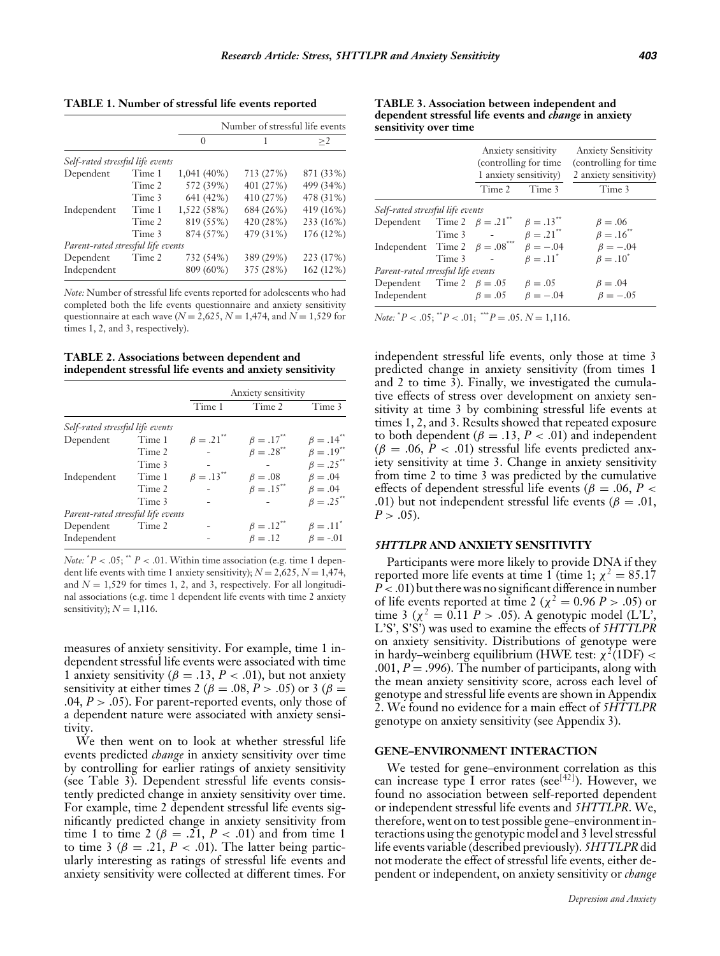**TABLE 1. Number of stressful life events reported**

|                                    |        |             | Number of stressful life events |           |  |  |
|------------------------------------|--------|-------------|---------------------------------|-----------|--|--|
|                                    |        | $\Omega$    | 1                               | >2        |  |  |
| Self-rated stressful life events   |        |             |                                 |           |  |  |
| Dependent                          | Time 1 | 1,041 (40%) | 713 (27%)                       | 871 (33%) |  |  |
|                                    | Time 2 | 572 (39%)   | 401 (27%)                       | 499 (34%) |  |  |
|                                    | Time 3 | 641 (42%)   | 410 (27%)                       | 478 (31%) |  |  |
| Independent                        | Time 1 | 1,522 (58%) | 684 (26%)                       | 419 (16%) |  |  |
|                                    | Time 2 | 819 (55%)   | 420 (28%)                       | 233 (16%) |  |  |
|                                    | Time 3 | 874 (57%)   | 479 (31%)                       | 176 (12%) |  |  |
| Parent-rated stressful life events |        |             |                                 |           |  |  |
| Dependent                          | Time 2 | 732 (54%)   | 389 (29%)                       | 223 (17%) |  |  |
| Independent                        |        | 809 (60%)   | 375 (28%)                       | 162 (12%) |  |  |

*Note:* Number of stressful life events reported for adolescents who had completed both the life events questionnaire and anxiety sensitivity questionnaire at each wave (*N* = 2,625, *N* = 1,474, and *N* = 1,529 for times 1, 2, and 3, respectively).

**TABLE 2. Associations between dependent and independent stressful life events and anxiety sensitivity**

|                                    |        | Anxiety sensitivity         |                             |                             |  |  |
|------------------------------------|--------|-----------------------------|-----------------------------|-----------------------------|--|--|
|                                    |        | Time 1                      | Time 2                      | Time 3                      |  |  |
| Self-rated stressful life events   |        |                             |                             |                             |  |  |
| Dependent                          | Time 1 | $\beta = .21$ <sup>**</sup> | $\beta = .17$ <sup>**</sup> | $\beta = .14^{**}$          |  |  |
|                                    | Time 2 |                             | $\beta = .28$ <sup>**</sup> | $\beta = .19^{**}$          |  |  |
|                                    | Time 3 |                             |                             | $\beta = .25$ <sup>**</sup> |  |  |
| Independent                        | Time 1 | $\beta = .13^{**}$          | $\beta=.08$                 | $\beta = .04$               |  |  |
|                                    | Time 2 | ۰                           | $\beta = .15$ **            | $\beta = .04$               |  |  |
|                                    | Time 3 |                             |                             | $\beta = .25$ <sup>**</sup> |  |  |
| Parent-rated stressful life events |        |                             |                             |                             |  |  |
| Dependent                          | Time 2 | ۰                           | $\beta = .12$ <sup>**</sup> | $\beta = .11^*$             |  |  |
| Independent                        |        |                             | $\beta=.12$                 | $\beta = -.01$              |  |  |

*Note:*  $^{\ast}P < .05$ ;  $^{\ast\ast}P < .01$ . Within time association (e.g. time 1 dependent life events with time 1 anxiety sensitivity);  $N = 2,625$ ,  $N = 1,474$ , and  $N = 1,529$  for times 1, 2, and 3, respectively. For all longitudinal associations (e.g. time 1 dependent life events with time 2 anxiety sensitivity);  $N = 1,116$ .

measures of anxiety sensitivity. For example, time 1 independent stressful life events were associated with time 1 anxiety sensitivity ( $\beta = .13, P < .01$ ), but not anxiety sensitivity at either times 2 ( $\beta = .08, P > .05$ ) or 3 ( $\beta =$ .04,  $P > .05$ ). For parent-reported events, only those of a dependent nature were associated with anxiety sensitivity.

We then went on to look at whether stressful life events predicted *change* in anxiety sensitivity over time by controlling for earlier ratings of anxiety sensitivity (see Table 3). Dependent stressful life events consistently predicted change in anxiety sensitivity over time. For example, time 2 dependent stressful life events significantly predicted change in anxiety sensitivity from time 1 to time 2 ( $\beta = .21, P < .01$ ) and from time 1 to time 3 ( $\beta = .21, P < .01$ ). The latter being particularly interesting as ratings of stressful life events and anxiety sensitivity were collected at different times. For

**TABLE 3. Association between independent and dependent stressful life events and** *change* **in anxiety sensitivity over time**

|                                              |                    | Anxiety sensitivity<br>(controlling for time<br>1 anxiety sensitivity) |                             | <b>Anxiety Sensitivity</b><br>(controlling for time<br>2 anxiety sensitivity) |  |  |  |
|----------------------------------------------|--------------------|------------------------------------------------------------------------|-----------------------------|-------------------------------------------------------------------------------|--|--|--|
|                                              |                    |                                                                        | Time 2 Time 3               | Time 3                                                                        |  |  |  |
| Self-rated stressful life events             |                    |                                                                        |                             |                                                                               |  |  |  |
| Dependent Time 2 $\beta = .21$ <sup>**</sup> |                    |                                                                        | $\beta = .13^{**}$          | $\beta = .06$                                                                 |  |  |  |
|                                              | Time 3             |                                                                        | $\beta = .21$ <sup>**</sup> | $\beta = .16^{**}$                                                            |  |  |  |
| Independent Time 2 $\beta = .08***$          |                    |                                                                        | $\beta = -.04$              | $\beta = -.04$                                                                |  |  |  |
|                                              | Time 3             |                                                                        | $\beta = .11^*$             | $\beta = .10^{\circ}$                                                         |  |  |  |
| Parent-rated stressful life events           |                    |                                                                        |                             |                                                                               |  |  |  |
| Dependent Time 2 $\beta = .05$               |                    |                                                                        | $\beta=.05$                 | $\beta = .04$                                                                 |  |  |  |
| Independent                                  |                    | $\beta = .05$                                                          | $\beta = -.04$              | $\beta = -.05$                                                                |  |  |  |
|                                              | * - - ** - - *** - |                                                                        |                             |                                                                               |  |  |  |

*Note:*  ${}^{\ast}P$  < .05;  ${}^{\ast\ast}P$  < .01;  ${}^{\ast\ast\ast}P$  = .05. *N* = 1,116.

independent stressful life events, only those at time 3 predicted change in anxiety sensitivity (from times 1 and 2 to time 3). Finally, we investigated the cumulative effects of stress over development on anxiety sensitivity at time 3 by combining stressful life events at times 1, 2, and 3. Results showed that repeated exposure to both dependent ( $\beta = .13, P < .01$ ) and independent  $(\beta = .06, P < .01)$  stressful life events predicted anxiety sensitivity at time 3. Change in anxiety sensitivity from time 2 to time 3 was predicted by the cumulative effects of dependent stressful life events ( $\beta = .06, P <$ .01) but not independent stressful life events ( $\beta = .01$ ,  $P > .05$ ).

#### *5HTTLPR* **AND ANXIETY SENSITIVITY**

Participants were more likely to provide DNA if they reported more life events at time 1 (time 1;  $\chi^2 = 85.17$ *P*<.01) but there was no significant difference in number of life events reported at time 2 ( $\chi^2 = 0.96 P > .05$ ) or time 3 ( $\chi^2 = 0.11$  *P* > .05). A genotypic model (L'L', L'S', S'S') was used to examine the effects of *5HTTLPR* on anxiety sensitivity. Distributions of genotype were in hardy–weinberg equilibrium (HWE test:  $\chi^2(1DF)$  < .001,  $P = .996$ ). The number of participants, along with the mean anxiety sensitivity score, across each level of genotype and stressful life events are shown in Appendix 2. We found no evidence for a main effect of *5HTTLPR* genotype on anxiety sensitivity (see Appendix 3).

#### **GENE–ENVIRONMENT INTERACTION**

We tested for gene–environment correlation as this can increase type I error rates (see<sup>[42]</sup>). However, we found no association between self-reported dependent or independent stressful life events and *5HTTLPR*. We, therefore, went on to test possible gene–environment interactions using the genotypic model and 3 level stressful life events variable (described previously). *5HTTLPR* did not moderate the effect of stressful life events, either dependent or independent, on anxiety sensitivity or *change*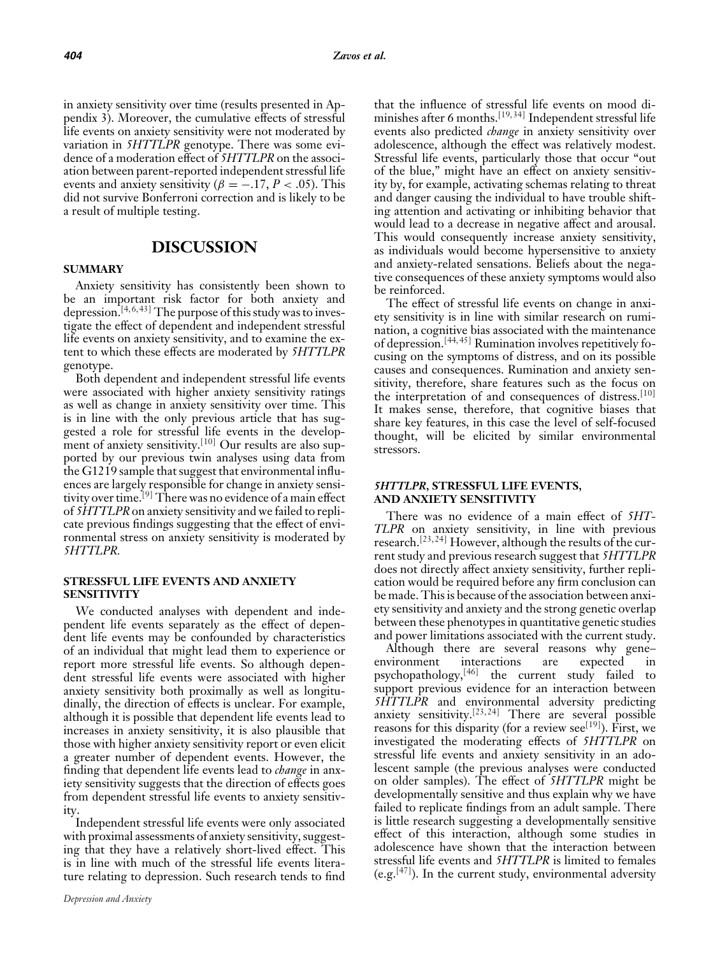in anxiety sensitivity over time (results presented in Appendix 3). Moreover, the cumulative effects of stressful life events on anxiety sensitivity were not moderated by variation in *5HTTLPR* genotype. There was some evidence of a moderation effect of *5HTTLPR* on the association between parent-reported independent stressful life events and anxiety sensitivity ( $\beta = -.17, P < .05$ ). This did not survive Bonferroni correction and is likely to be a result of multiple testing.

# **DISCUSSION**

## **SUMMARY**

Anxiety sensitivity has consistently been shown to be an important risk factor for both anxiety and depression.<sup>[4, 6, 43]</sup> The purpose of this study was to investigate the effect of dependent and independent stressful life events on anxiety sensitivity, and to examine the extent to which these effects are moderated by *5HTTLPR* genotype.

Both dependent and independent stressful life events were associated with higher anxiety sensitivity ratings as well as change in anxiety sensitivity over time. This is in line with the only previous article that has suggested a role for stressful life events in the development of anxiety sensitivity.<sup>[10]</sup> Our results are also supported by our previous twin analyses using data from the G1219 sample that suggest that environmental influences are largely responsible for change in anxiety sensitivity over time.<sup>[9]</sup> There was no evidence of a main effect of *5HTTLPR* on anxiety sensitivity and we failed to replicate previous findings suggesting that the effect of environmental stress on anxiety sensitivity is moderated by *5HTTLPR.*

## **STRESSFUL LIFE EVENTS AND ANXIETY SENSITIVITY**

We conducted analyses with dependent and independent life events separately as the effect of dependent life events may be confounded by characteristics of an individual that might lead them to experience or report more stressful life events. So although dependent stressful life events were associated with higher anxiety sensitivity both proximally as well as longitudinally, the direction of effects is unclear. For example, although it is possible that dependent life events lead to increases in anxiety sensitivity, it is also plausible that those with higher anxiety sensitivity report or even elicit a greater number of dependent events. However, the finding that dependent life events lead to *change* in anxiety sensitivity suggests that the direction of effects goes from dependent stressful life events to anxiety sensitivity.

Independent stressful life events were only associated with proximal assessments of anxiety sensitivity, suggesting that they have a relatively short-lived effect. This is in line with much of the stressful life events literature relating to depression. Such research tends to find

that the influence of stressful life events on mood diminishes after 6 months.<sup>[19,34]</sup> Independent stressful life events also predicted *change* in anxiety sensitivity over adolescence, although the effect was relatively modest. Stressful life events, particularly those that occur "out of the blue," might have an effect on anxiety sensitivity by, for example, activating schemas relating to threat and danger causing the individual to have trouble shifting attention and activating or inhibiting behavior that would lead to a decrease in negative affect and arousal. This would consequently increase anxiety sensitivity, as individuals would become hypersensitive to anxiety and anxiety-related sensations. Beliefs about the negative consequences of these anxiety symptoms would also be reinforced.

The effect of stressful life events on change in anxiety sensitivity is in line with similar research on rumination, a cognitive bias associated with the maintenance of depression.[44, 45] Rumination involves repetitively focusing on the symptoms of distress, and on its possible causes and consequences. Rumination and anxiety sensitivity, therefore, share features such as the focus on the interpretation of and consequences of distress.<sup>[10]</sup> It makes sense, therefore, that cognitive biases that share key features, in this case the level of self-focused thought, will be elicited by similar environmental stressors.

## *5HTTLPR***, STRESSFUL LIFE EVENTS, AND ANXIETY SENSITIVITY**

There was no evidence of a main effect of *5HT-TLPR* on anxiety sensitivity, in line with previous research.<sup>[23,24]</sup> However, although the results of the current study and previous research suggest that *5HTTLPR* does not directly affect anxiety sensitivity, further replication would be required before any firm conclusion can be made. This is because of the association between anxiety sensitivity and anxiety and the strong genetic overlap between these phenotypes in quantitative genetic studies and power limitations associated with the current study.

Although there are several reasons why gene– environment interactions are expected in psychopathology, $[46]$  the current study failed to support previous evidence for an interaction between *5HTTLPR* and environmental adversity predicting anxiety sensitivity.<sup>[23, 24]</sup> There are several possible reasons for this disparity (for a review see<sup>[19]</sup>). First, we investigated the moderating effects of *5HTTLPR* on stressful life events and anxiety sensitivity in an adolescent sample (the previous analyses were conducted on older samples). The effect of *5HTTLPR* might be developmentally sensitive and thus explain why we have failed to replicate findings from an adult sample. There is little research suggesting a developmentally sensitive effect of this interaction, although some studies in adolescence have shown that the interaction between stressful life events and *5HTTLPR* is limited to females (e.g.<sup>[47]</sup>). In the current study, environmental adversity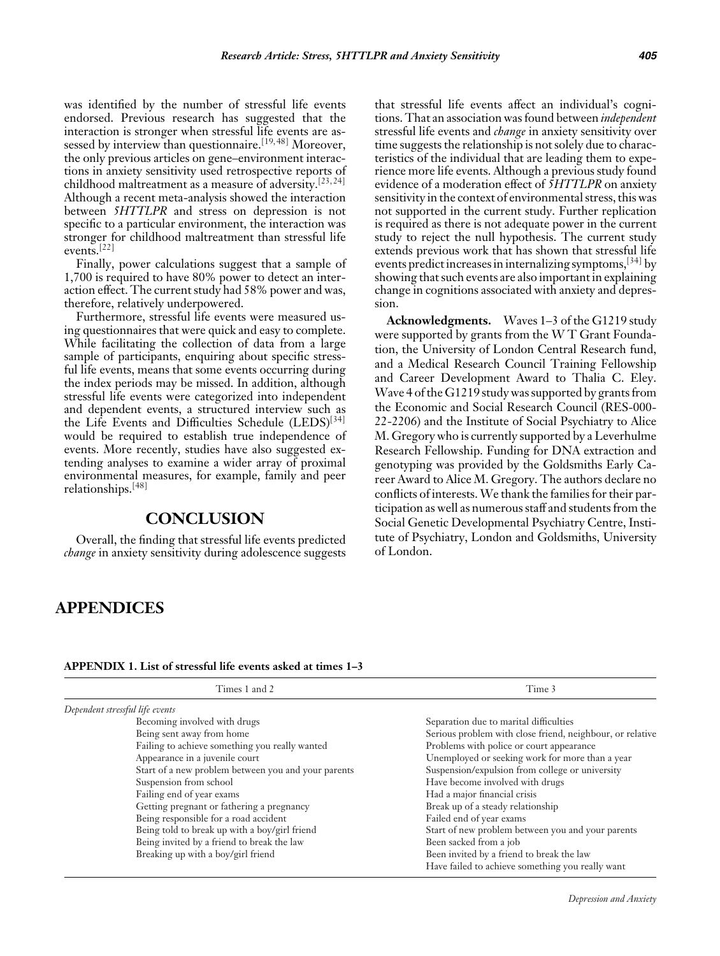was identified by the number of stressful life events endorsed. Previous research has suggested that the interaction is stronger when stressful life events are assessed by interview than questionnaire.<sup>[19,48]</sup> Moreover, the only previous articles on gene–environment interactions in anxiety sensitivity used retrospective reports of childhood maltreatment as a measure of adversity.[23, 24] Although a recent meta-analysis showed the interaction between *5HTTLPR* and stress on depression is not specific to a particular environment, the interaction was stronger for childhood maltreatment than stressful life events.[22]

Finally, power calculations suggest that a sample of 1,700 is required to have 80% power to detect an interaction effect. The current study had 58% power and was, therefore, relatively underpowered.

Furthermore, stressful life events were measured using questionnaires that were quick and easy to complete. While facilitating the collection of data from a large sample of participants, enquiring about specific stressful life events, means that some events occurring during the index periods may be missed. In addition, although stressful life events were categorized into independent and dependent events, a structured interview such as the Life Events and Difficulties Schedule (LEDS)<sup>[34]</sup> would be required to establish true independence of events. More recently, studies have also suggested extending analyses to examine a wider array of proximal environmental measures, for example, family and peer relationships.[48]

# **CONCLUSION**

Overall, the finding that stressful life events predicted *change* in anxiety sensitivity during adolescence suggests that stressful life events affect an individual's cognitions. That an association was found between *independent* stressful life events and *change* in anxiety sensitivity over time suggests the relationship is not solely due to characteristics of the individual that are leading them to experience more life events. Although a previous study found evidence of a moderation effect of *5HTTLPR* on anxiety sensitivity in the context of environmental stress, this was not supported in the current study. Further replication is required as there is not adequate power in the current study to reject the null hypothesis. The current study extends previous work that has shown that stressful life events predict increases in internalizing symptoms,  $[34]$  by showing that such events are also important in explaining change in cognitions associated with anxiety and depression.

**Acknowledgments.** Waves 1–3 of the G1219 study were supported by grants from the W T Grant Foundation, the University of London Central Research fund, and a Medical Research Council Training Fellowship and Career Development Award to Thalia C. Eley. Wave 4 of the G1219 study was supported by grants from the Economic and Social Research Council (RES-000- 22-2206) and the Institute of Social Psychiatry to Alice M. Gregory who is currently supported by a Leverhulme Research Fellowship. Funding for DNA extraction and genotyping was provided by the Goldsmiths Early Career Award to Alice M. Gregory. The authors declare no conflicts of interests.We thank the families for their participation as well as numerous staff and students from the Social Genetic Developmental Psychiatry Centre, Institute of Psychiatry, London and Goldsmiths, University of London.

# **APPENDICES**

| Times 1 and 2                                       | Time 3                                                    |
|-----------------------------------------------------|-----------------------------------------------------------|
| Dependent stressful life events                     |                                                           |
| Becoming involved with drugs                        | Separation due to marital difficulties                    |
| Being sent away from home                           | Serious problem with close friend, neighbour, or relative |
| Failing to achieve something you really wanted      | Problems with police or court appearance                  |
| Appearance in a juvenile court                      | Unemployed or seeking work for more than a year           |
| Start of a new problem between you and your parents | Suspension/expulsion from college or university           |
| Suspension from school                              | Have become involved with drugs                           |
| Failing end of year exams                           | Had a major financial crisis                              |
| Getting pregnant or fathering a pregnancy           | Break up of a steady relationship                         |
| Being responsible for a road accident               | Failed end of year exams                                  |
| Being told to break up with a boy/girl friend       | Start of new problem between you and your parents         |
| Being invited by a friend to break the law          | Been sacked from a job                                    |
| Breaking up with a boy/girl friend                  | Been invited by a friend to break the law                 |
|                                                     | Have failed to achieve something you really want          |

## **APPENDIX 1. List of stressful life events asked at times 1–3**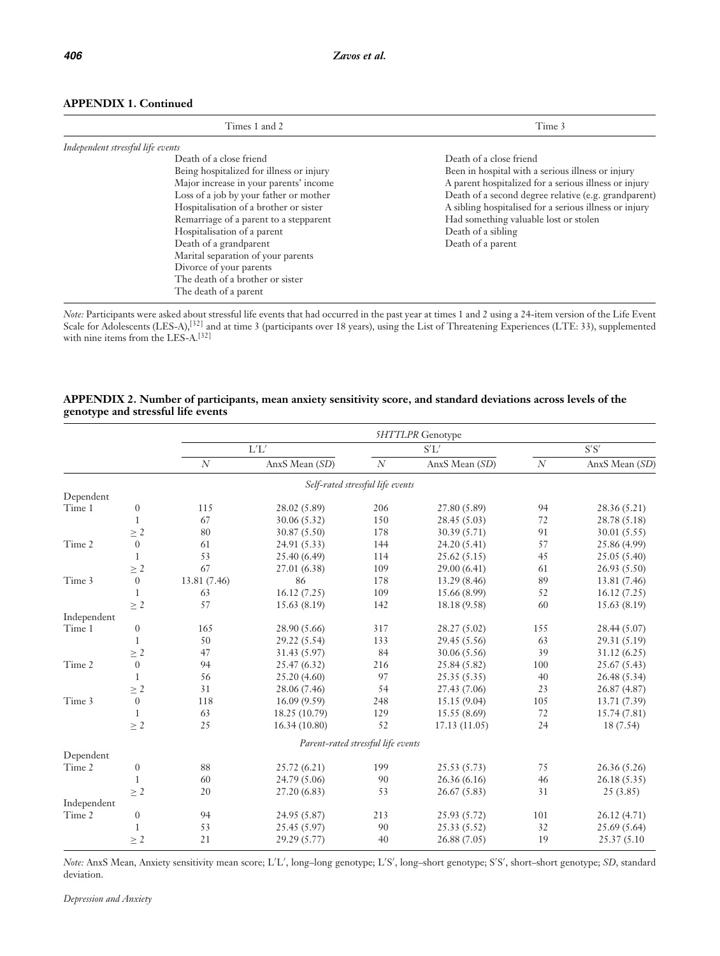# **APPENDIX 1. Continued**

| Times 1 and 2                                                                                                                                                                                                                                                              | Time 3                                                                                                                                                                                                                                                                                                                 |
|----------------------------------------------------------------------------------------------------------------------------------------------------------------------------------------------------------------------------------------------------------------------------|------------------------------------------------------------------------------------------------------------------------------------------------------------------------------------------------------------------------------------------------------------------------------------------------------------------------|
| Independent stressful life events                                                                                                                                                                                                                                          |                                                                                                                                                                                                                                                                                                                        |
| Death of a close friend<br>Being hospitalized for illness or injury<br>Major increase in your parents' income<br>Loss of a job by your father or mother<br>Hospitalisation of a brother or sister<br>Remarriage of a parent to a stepparent<br>Hospitalisation of a parent | Death of a close friend<br>Been in hospital with a serious illness or injury<br>A parent hospitalized for a serious illness or injury<br>Death of a second degree relative (e.g. grandparent)<br>A sibling hospitalised for a serious illness or injury<br>Had something valuable lost or stolen<br>Death of a sibling |
| Death of a grandparent<br>Marital separation of your parents<br>Divorce of your parents<br>The death of a brother or sister<br>The death of a parent                                                                                                                       | Death of a parent                                                                                                                                                                                                                                                                                                      |

*Note:* Participants were asked about stressful life events that had occurred in the past year at times 1 and 2 using a 24-item version of the Life Event Scale for Adolescents (LES-A),<sup>[32]</sup> and at time 3 (participants over 18 years), using the List of Threatening Experiences (LTE: 33), supplemented with nine items from the LES-A.<sup>[32]</sup>

|             |                  | 5HTTLPR Genotype  |                                    |                                  |                |                  |                |
|-------------|------------------|-------------------|------------------------------------|----------------------------------|----------------|------------------|----------------|
|             |                  | $\overline{L'L'}$ |                                    | $\mathrm{S}'\mathrm{L}'$         |                | S'S'             |                |
|             |                  | $\boldsymbol{N}$  | AnxS Mean (SD)                     | $\cal N$                         | AnxS Mean (SD) | $\boldsymbol{N}$ | AnxS Mean (SD) |
|             |                  |                   |                                    | Self-rated stressful life events |                |                  |                |
| Dependent   |                  |                   |                                    |                                  |                |                  |                |
| Time 1      | $\boldsymbol{0}$ | 115               | 28.02 (5.89)                       | 206                              | 27.80 (5.89)   | 94               | 28.36 (5.21)   |
|             | $\mathbf{1}$     | 67                | 30.06 (5.32)                       | 150                              | 28.45 (5.03)   | 72               | 28.78 (5.18)   |
|             | $\geq 2$         | 80                | 30.87 (5.50)                       | 178                              | 30.39 (5.71)   | 91               | 30.01 (5.55)   |
| Time 2      | $\boldsymbol{0}$ | 61                | 24.91 (5.33)                       | 144                              | 24.20 (5.41)   | 57               | 25.86 (4.99)   |
|             | $\mathbf{1}$     | 53                | 25.40 (6.49)                       | 114                              | 25.62(5.15)    | 45               | 25.05(5.40)    |
|             | $\geq 2$         | 67                | 27.01 (6.38)                       | 109                              | 29.00(6.41)    | 61               | 26.93(5.50)    |
| Time 3      | $\mathbf{0}$     | 13.81 (7.46)      | 86                                 | 178                              | 13.29 (8.46)   | 89               | 13.81 (7.46)   |
|             | $\mathbf{1}$     | 63                | 16.12(7.25)                        | 109                              | 15.66 (8.99)   | 52               | 16.12(7.25)    |
|             | $\geq 2$         | 57                | 15.63 (8.19)                       | 142                              | 18.18 (9.58)   | 60               | 15.63(8.19)    |
| Independent |                  |                   |                                    |                                  |                |                  |                |
| Time 1      | $\boldsymbol{0}$ | 165               | 28.90 (5.66)                       | 317                              | 28.27 (5.02)   | 155              | 28.44 (5.07)   |
|             | $\mathbf{1}$     | 50                | 29.22 (5.54)                       | 133                              | 29.45 (5.56)   | 63               | 29.31 (5.19)   |
|             | $\geq 2$         | 47                | 31.43 (5.97)                       | 84                               | 30.06 (5.56)   | 39               | 31.12(6.25)    |
| Time 2      | $\overline{0}$   | 94                | 25.47 (6.32)                       | 216                              | 25.84 (5.82)   | 100              | 25.67 (5.43)   |
|             | $\mathbf{1}$     | 56                | 25.20 (4.60)                       | 97                               | 25.35(5.35)    | 40               | 26.48 (5.34)   |
|             | $\geq 2$         | 31                | 28.06 (7.46)                       | 54                               | 27.43 (7.06)   | 23               | 26.87 (4.87)   |
| Time 3      | $\boldsymbol{0}$ | 118               | 16.09(9.59)                        | 248                              | 15.15(9.04)    | 105              | 13.71 (7.39)   |
|             | $\mathbf{1}$     | 63                | 18.25 (10.79)                      | 129                              | 15.55 (8.69)   | 72               | 15.74(7.81)    |
|             | $\geq 2$         | 25                | 16.34(10.80)                       | 52                               | 17.13(11.05)   | 24               | 18 (7.54)      |
|             |                  |                   | Parent-rated stressful life events |                                  |                |                  |                |
| Dependent   |                  |                   |                                    |                                  |                |                  |                |
| Time 2      | $\boldsymbol{0}$ | 88                | 25.72 (6.21)                       | 199                              | 25.53 (5.73)   | 75               | 26.36 (5.26)   |
|             | $\mathbf{1}$     | 60                | 24.79 (5.06)                       | 90                               | 26.36(6.16)    | 46               | 26.18(5.35)    |
|             | $\geq 2$         | 20                | 27.20 (6.83)                       | 53                               | 26.67 (5.83)   | 31               | 25(3.85)       |
| Independent |                  |                   |                                    |                                  |                |                  |                |
| Time 2      | $\boldsymbol{0}$ | 94                | 24.95 (5.87)                       | 213                              | 25.93 (5.72)   | 101              | 26.12 (4.71)   |
|             | 1                | 53                | 25.45 (5.97)                       | 90                               | 25.33 (5.52)   | 32               | 25.69 (5.64)   |
|             | $\geq 2$         | 21                | 29.29 (5.77)                       | 40                               | 26.88 (7.05)   | 19               | 25.37 (5.10)   |

#### **APPENDIX 2. Number of participants, mean anxiety sensitivity score, and standard deviations across levels of the genotype and stressful life events**

*Note:* AnxS Mean, Anxiety sensitivity mean score; L L , long–long genotype; L S , long–short genotype; S S , short–short genotype; *SD*, standard deviation.

*Depression and Anxiety*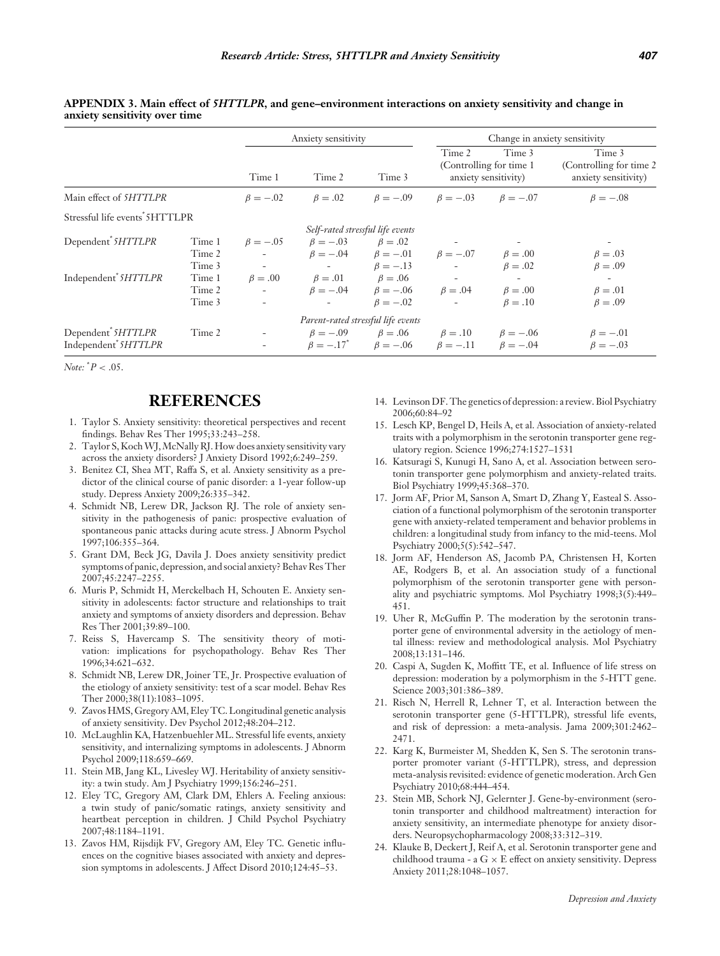|                                  |        | Anxiety sensitivity      |                          |                                    | Change in anxiety sensitivity |                                                            |                                                            |  |
|----------------------------------|--------|--------------------------|--------------------------|------------------------------------|-------------------------------|------------------------------------------------------------|------------------------------------------------------------|--|
|                                  |        | Time 1                   | Time 2                   | Time 3                             | Time 2                        | Time 3<br>(Controlling for time 1)<br>anxiety sensitivity) | Time 3<br>(Controlling for time 2)<br>anxiety sensitivity) |  |
| Main effect of 5HTTLPR           |        | $\beta = -.02$           | $\beta=.02$              | $\beta = -.09$                     | $\beta = -.03$                | $\beta = -.07$                                             | $\beta = -.08$                                             |  |
| Stressful life events' 5HTTLPR   |        |                          |                          |                                    |                               |                                                            |                                                            |  |
|                                  |        |                          |                          | Self-rated stressful life events   |                               |                                                            |                                                            |  |
| Dependent <sup>*</sup> 5HTTLPR   | Time 1 | $\beta = -.05$           | $\beta = -.03$           | $\beta=.02$                        |                               | $\overline{\phantom{a}}$                                   | $\overline{\phantom{a}}$                                   |  |
|                                  | Time 2 | $\overline{\phantom{a}}$ | $\beta = -.04$           | $\beta = -.01$                     | $\beta = -.07$                | $\beta = .00$                                              | $\beta=.03$                                                |  |
|                                  | Time 3 | $\overline{\phantom{a}}$ | $\sim$                   | $\beta = -.13$                     | $\sim$                        | $\beta=.02$                                                | $\beta = .09$                                              |  |
| Independent <sup>*</sup> 5HTTLPR | Time 1 | $\beta=.00$              |                          | $\beta = .01$ $\beta = .06$        | $\sim$                        | $\overline{\phantom{a}}$                                   | $\overline{\phantom{a}}$                                   |  |
|                                  | Time 2 | $\overline{\phantom{a}}$ | $\beta = -.04$           | $\beta = -.06$                     | $\beta = .04$                 | $\beta=.00$                                                | $\beta=.01$                                                |  |
|                                  | Time 3 | $\overline{\phantom{a}}$ | $\overline{\phantom{0}}$ | $\beta = -.02$                     |                               | $\beta=.10$                                                | $\beta = .09$                                              |  |
|                                  |        |                          |                          | Parent-rated stressful life events |                               |                                                            |                                                            |  |
| Dependent <sup>*</sup> 5HTTLPR   | Time 2 | $\overline{\phantom{a}}$ |                          | $\beta = -.09$ $\beta = .06$       | $\beta=.10$                   | $\beta = -.06$                                             | $\beta = -.01$                                             |  |
| Independent <sup>*</sup> 5HTTLPR |        | $\overline{\phantom{a}}$ |                          | $\beta = -.17^*$ $\beta = -.06$    | $\beta = -.11$                | $\beta = -.04$                                             | $\beta = -.03$                                             |  |

**APPENDIX 3. Main effect of** *5HTTLPR***, and gene–environment interactions on anxiety sensitivity and change in anxiety sensitivity over time**

*Note:* \* *P* < .05.

# **REFERENCES**

- 1. Taylor S. Anxiety sensitivity: theoretical perspectives and recent findings. Behav Res Ther 1995;33:243–258.
- 2. Taylor S, KochWJ,McNally RJ. How does anxiety sensitivity vary across the anxiety disorders? J Anxiety Disord 1992;6:249–259.
- 3. Benitez CI, Shea MT, Raffa S, et al. Anxiety sensitivity as a predictor of the clinical course of panic disorder: a 1-year follow-up study. Depress Anxiety 2009;26:335–342.
- 4. Schmidt NB, Lerew DR, Jackson RJ. The role of anxiety sensitivity in the pathogenesis of panic: prospective evaluation of spontaneous panic attacks during acute stress. J Abnorm Psychol 1997;106:355–364.
- 5. Grant DM, Beck JG, Davila J. Does anxiety sensitivity predict symptoms of panic, depression, and social anxiety? Behav Res Ther 2007;45:2247–2255.
- 6. Muris P, Schmidt H, Merckelbach H, Schouten E. Anxiety sensitivity in adolescents: factor structure and relationships to trait anxiety and symptoms of anxiety disorders and depression. Behav Res Ther 2001;39:89–100.
- 7. Reiss S, Havercamp S. The sensitivity theory of motivation: implications for psychopathology. Behav Res Ther 1996;34:621–632.
- 8. Schmidt NB, Lerew DR, Joiner TE, Jr. Prospective evaluation of the etiology of anxiety sensitivity: test of a scar model. Behav Res Ther 2000;38(11):1083–1095.
- 9. Zavos HMS, Gregory AM, Eley TC. Longitudinal genetic analysis of anxiety sensitivity. Dev Psychol 2012;48:204–212.
- 10. McLaughlin KA, Hatzenbuehler ML. Stressful life events, anxiety sensitivity, and internalizing symptoms in adolescents. J Abnorm Psychol 2009;118:659–669.
- 11. Stein MB, Jang KL, Livesley WJ. Heritability of anxiety sensitivity: a twin study. Am J Psychiatry 1999;156:246–251.
- 12. Eley TC, Gregory AM, Clark DM, Ehlers A. Feeling anxious: a twin study of panic/somatic ratings, anxiety sensitivity and heartbeat perception in children. J Child Psychol Psychiatry 2007;48:1184–1191.
- 13. Zavos HM, Rijsdijk FV, Gregory AM, Eley TC. Genetic influences on the cognitive biases associated with anxiety and depression symptoms in adolescents. J Affect Disord 2010;124:45–53.
- 14. Levinson DF. The genetics of depression: a review. Biol Psychiatry 2006;60:84–92
- 15. Lesch KP, Bengel D, Heils A, et al. Association of anxiety-related traits with a polymorphism in the serotonin transporter gene regulatory region. Science 1996;274:1527–1531
- 16. Katsuragi S, Kunugi H, Sano A, et al. Association between serotonin transporter gene polymorphism and anxiety-related traits. Biol Psychiatry 1999;45:368–370.
- 17. Jorm AF, Prior M, Sanson A, Smart D, Zhang Y, Easteal S. Association of a functional polymorphism of the serotonin transporter gene with anxiety-related temperament and behavior problems in children: a longitudinal study from infancy to the mid-teens. Mol Psychiatry 2000;5(5):542–547.
- 18. Jorm AF, Henderson AS, Jacomb PA, Christensen H, Korten AE, Rodgers B, et al. An association study of a functional polymorphism of the serotonin transporter gene with personality and psychiatric symptoms. Mol Psychiatry 1998;3(5):449– 451.
- 19. Uher R, McGuffin P. The moderation by the serotonin transporter gene of environmental adversity in the aetiology of mental illness: review and methodological analysis. Mol Psychiatry 2008;13:131–146.
- 20. Caspi A, Sugden K, Moffitt TE, et al. Influence of life stress on depression: moderation by a polymorphism in the 5-HTT gene. Science 2003;301:386–389.
- 21. Risch N, Herrell R, Lehner T, et al. Interaction between the serotonin transporter gene (5-HTTLPR), stressful life events, and risk of depression: a meta-analysis. Jama 2009;301:2462– 2471.
- 22. Karg K, Burmeister M, Shedden K, Sen S. The serotonin transporter promoter variant (5-HTTLPR), stress, and depression meta-analysis revisited: evidence of genetic moderation. Arch Gen Psychiatry 2010;68:444–454.
- 23. Stein MB, Schork NJ, Gelernter J. Gene-by-environment (serotonin transporter and childhood maltreatment) interaction for anxiety sensitivity, an intermediate phenotype for anxiety disorders. Neuropsychopharmacology 2008;33:312–319.
- 24. Klauke B, Deckert J, Reif A, et al. Serotonin transporter gene and childhood trauma - a  $G \times E$  effect on anxiety sensitivity. Depress Anxiety 2011;28:1048–1057.